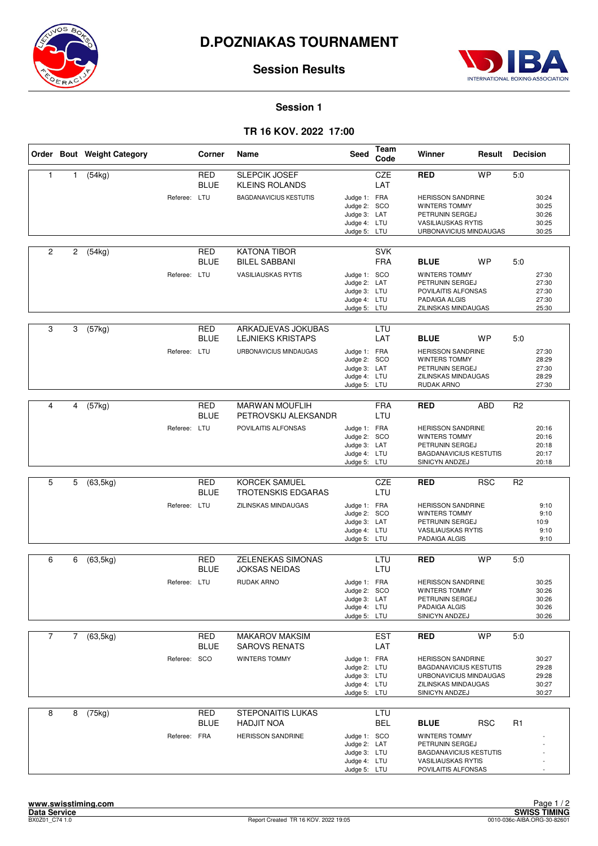



**Session Results**

#### **Session 1**

### **TR 16 KOV. 2022 17:00**

|                |   | Order Bout Weight Category |              | Corner                    | Name                                              | Seed                                                                         | Team<br>Code             | Winner                                                                                                                       | Result     | <b>Decision</b> |                                           |
|----------------|---|----------------------------|--------------|---------------------------|---------------------------------------------------|------------------------------------------------------------------------------|--------------------------|------------------------------------------------------------------------------------------------------------------------------|------------|-----------------|-------------------------------------------|
| $\mathbf{1}$   | 1 | (54kg)                     |              | <b>RED</b><br><b>BLUE</b> | <b>SLEPCIK JOSEF</b><br><b>KLEINS ROLANDS</b>     |                                                                              | <b>CZE</b><br>LAT        | <b>RED</b>                                                                                                                   | <b>WP</b>  | 5.0             |                                           |
|                |   |                            | Referee: LTU |                           | <b>BAGDANAVICIUS KESTUTIS</b>                     | Judge 1: FRA<br>Judge 2: SCO<br>Judge 3: LAT<br>Judge 4: LTU<br>Judge 5: LTU |                          | <b>HERISSON SANDRINE</b><br>WINTERS TOMMY<br>PETRUNIN SERGEJ<br><b>VASILIAUSKAS RYTIS</b><br>URBONAVICIUS MINDAUGAS          |            |                 | 30:24<br>30:25<br>30:26<br>30:25<br>30:25 |
| 2              | 2 | (54kg)                     |              | RED<br><b>BLUE</b>        | <b>KATONA TIBOR</b><br><b>BILEL SABBANI</b>       |                                                                              | <b>SVK</b><br><b>FRA</b> | <b>BLUE</b>                                                                                                                  | <b>WP</b>  | 5:0             |                                           |
|                |   |                            | Referee: LTU |                           | <b>VASILIAUSKAS RYTIS</b>                         | Judge 1: SCO<br>Judge 2: LAT<br>Judge 3: LTU<br>Judge 4: LTU<br>Judge 5: LTU |                          | <b>WINTERS TOMMY</b><br>PETRUNIN SERGEJ<br>POVILAITIS ALFONSAS<br>PADAIGA ALGIS<br>ZILINSKAS MINDAUGAS                       |            |                 | 27:30<br>27:30<br>27:30<br>27:30<br>25:30 |
| 3              | 3 | (57kg)                     |              | RED<br><b>BLUE</b>        | ARKADJEVAS JOKUBAS<br><b>LEJNIEKS KRISTAPS</b>    |                                                                              | <b>LTU</b><br>LAT        | <b>BLUE</b>                                                                                                                  | <b>WP</b>  | 5:0             |                                           |
|                |   |                            | Referee: LTU |                           | URBONAVICIUS MINDAUGAS                            | Judge 1: FRA<br>Judge 2: SCO<br>Judge 3: LAT<br>Judge 4: LTU<br>Judge 5: LTU |                          | <b>HERISSON SANDRINE</b><br><b>WINTERS TOMMY</b><br>PETRUNIN SERGEJ<br>ZILINSKAS MINDAUGAS<br>RUDAK ARNO                     |            |                 | 27:30<br>28:29<br>27:30<br>28:29<br>27:30 |
|                |   |                            |              |                           |                                                   |                                                                              |                          |                                                                                                                              |            |                 |                                           |
| 4              | 4 | $\sqrt{(57kg)}$            |              | <b>RED</b><br><b>BLUE</b> | <b>MARWAN MOUFLIH</b><br>PETROVSKIJ ALEKSANDR     |                                                                              | <b>FRA</b><br>LTU        | <b>RED</b>                                                                                                                   | <b>ABD</b> | R <sub>2</sub>  |                                           |
|                |   |                            | Referee: LTU |                           | POVILAITIS ALFONSAS                               | Judge 1: FRA<br>Judge 2: SCO<br>Judge 3: LAT<br>Judge 4: LTU<br>Judge 5: LTU |                          | <b>HERISSON SANDRINE</b><br><b>WINTERS TOMMY</b><br>PETRUNIN SERGEJ<br><b>BAGDANAVICIUS KESTUTIS</b><br>SINICYN ANDZEJ       |            |                 | 20:16<br>20:16<br>20:18<br>20:17<br>20:18 |
|                |   |                            |              |                           |                                                   |                                                                              |                          |                                                                                                                              |            |                 |                                           |
| 5              | 5 | (63, 5kg)                  |              | <b>RED</b><br><b>BLUE</b> | <b>KORCEK SAMUEL</b><br><b>TROTENSKIS EDGARAS</b> |                                                                              | CZE<br>LTU               | <b>RED</b>                                                                                                                   | <b>RSC</b> | R <sub>2</sub>  |                                           |
|                |   |                            | Referee: LTU |                           | ZILINSKAS MINDAUGAS                               | Judge 1: FRA<br>Judge 2: SCO<br>Judge 3: LAT<br>Judge 4: LTU<br>Judge 5: LTU |                          | <b>HERISSON SANDRINE</b><br><b>WINTERS TOMMY</b><br>PETRUNIN SERGEJ<br><b>VASILIAUSKAS RYTIS</b><br>PADAIGA ALGIS            |            |                 | 9:10<br>9:10<br>10:9<br>9:10<br>9:10      |
|                |   |                            |              |                           | <b>ZELENEKAS SIMONAS</b>                          |                                                                              |                          |                                                                                                                              | <b>WP</b>  |                 |                                           |
| 6              | 6 | (63, 5kg)                  |              | RED<br><b>BLUE</b>        | <b>JOKSAS NEIDAS</b>                              |                                                                              | LTU<br>LTU               | <b>RED</b>                                                                                                                   |            | 5.0             |                                           |
|                |   |                            | Referee: LTU |                           | RUDAK ARNO                                        | Judge 1: FRA<br>Judge 2: SCO<br>Judge 3: LAT<br>Judge 4: LTU<br>Judge 5: LTU |                          | <b>HERISSON SANDRINE</b><br>WINTERS TOMMY<br>PETRUNIN SERGEJ<br>PADAIGA ALGIS<br>SINICYN ANDZEJ                              |            |                 | 30:25<br>30:26<br>30:26<br>30:26<br>30:26 |
| $\overline{7}$ | 7 | (63, 5kg)                  |              | RED                       | <b>MAKAROV MAKSIM</b>                             |                                                                              | <b>EST</b>               | <b>RED</b>                                                                                                                   | <b>WP</b>  | 5:0             |                                           |
|                |   |                            | Referee: SCO | <b>BLUE</b>               | <b>SAROVS RENATS</b><br><b>WINTERS TOMMY</b>      | Judge 1: FRA<br>Judge 2: LTU<br>Judge 3: LTU<br>Judge 4: LTU<br>Judge 5: LTU | LAT                      | <b>HERISSON SANDRINE</b><br><b>BAGDANAVICIUS KESTUTIS</b><br>URBONAVICIUS MINDAUGAS<br>ZILINSKAS MINDAUGAS<br>SINICYN ANDZEJ |            |                 | 30:27<br>29:28<br>29:28<br>30:27<br>30:27 |
| 8              | 8 | (75kg)                     |              | <b>RED</b><br><b>BLUE</b> | <b>STEPONAITIS LUKAS</b><br><b>HADJIT NOA</b>     |                                                                              | LTU<br>BEL               | <b>BLUE</b>                                                                                                                  | <b>RSC</b> | R <sub>1</sub>  |                                           |
|                |   |                            | Referee: FRA |                           | <b>HERISSON SANDRINE</b>                          | Judge 1: SCO<br>Judge 2: LAT<br>Judge 3: LTU<br>Judge 4: LTU<br>Judge 5: LTU |                          | WINTERS TOMMY<br>PETRUNIN SERGEJ<br><b>BAGDANAVICIUS KESTUTIS</b><br><b>VASILIAUSKAS RYTIS</b><br>POVILAITIS ALFONSAS        |            |                 |                                           |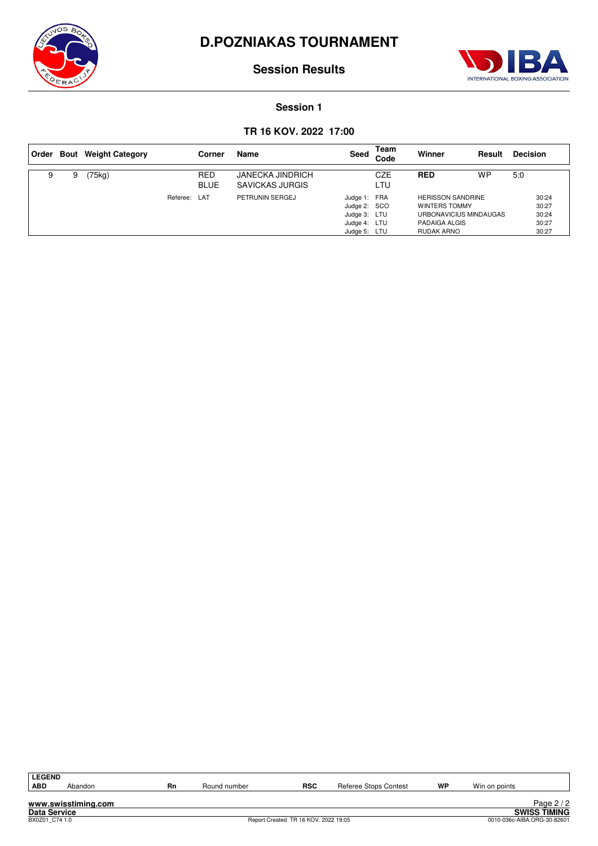



**Session Results**

### **Session 1**

### **TR 16 KOV. 2022 17:00**

|   |   | Order Bout Weight Category |          | Corner                    | Name                                              | Seed                                                                         | Team<br>Code | Winner                                                                                             | Result | <b>Decision</b>                           |
|---|---|----------------------------|----------|---------------------------|---------------------------------------------------|------------------------------------------------------------------------------|--------------|----------------------------------------------------------------------------------------------------|--------|-------------------------------------------|
| 9 | 9 | 75kg)                      |          | <b>RED</b><br><b>BLUE</b> | <b>JANECKA JINDRICH</b><br><b>SAVICKAS JURGIS</b> |                                                                              | CZE<br>LTU   | <b>RED</b>                                                                                         | WP     | 5:0                                       |
|   |   |                            | Referee: | LAT                       | PETRUNIN SERGEJ                                   | Judge 1: FRA<br>Judge 2: SCO<br>Judge 3: LTU<br>Judge 4: LTU<br>Judge 5: LTU |              | <b>HERISSON SANDRINE</b><br>WINTERS TOMMY<br>URBONAVICIUS MINDAUGAS<br>PADAIGA ALGIS<br>RUDAK ARNO |        | 30:24<br>30:27<br>30:24<br>30:27<br>30:27 |

| <b>LEGEND</b>  |                     |    |              |                                      |                       |    |               |                             |
|----------------|---------------------|----|--------------|--------------------------------------|-----------------------|----|---------------|-----------------------------|
| <b>ABD</b>     | Abandon             | Rn | Round number | <b>RSC</b>                           | Referee Stops Contest | WP | Win on points |                             |
|                |                     |    |              |                                      |                       |    |               |                             |
|                | www.swisstiming.com |    |              |                                      |                       |    |               | Page $2/2$                  |
| Data Service   |                     |    |              |                                      |                       |    |               | <b>SWISS TIMING</b>         |
| BX0Z01 C74 1.0 |                     |    |              | Report Created TR 16 KOV. 2022 19:05 |                       |    |               | 0010-036c-AIBA.ORG-30-82601 |
|                |                     |    |              |                                      |                       |    |               |                             |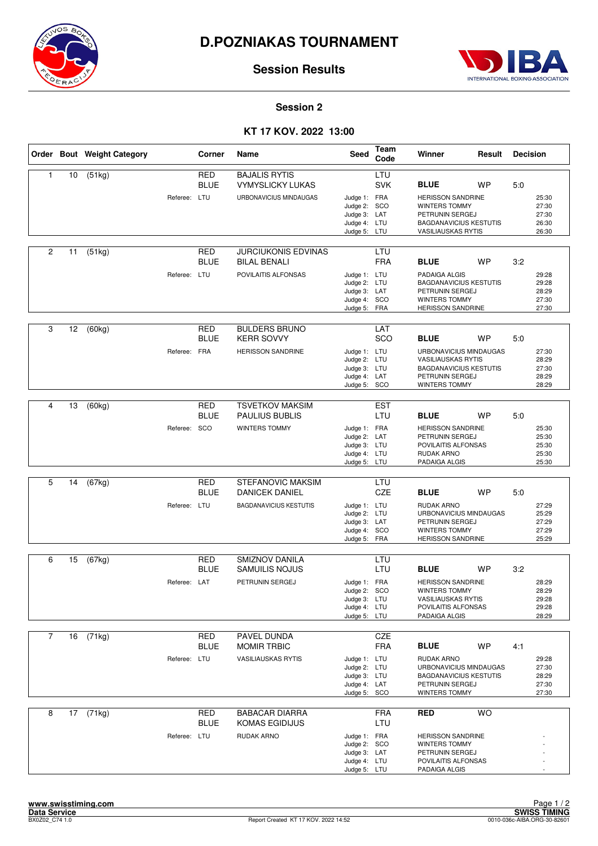



**Session Results**

#### **Session 2**

## **KT 17 KOV. 2022 13:00**

|                |    | Order Bout Weight Category |              | Corner                    | Name                                                                               | Seed                                                                         | Team<br>Code      | Winner                                                                                                                                    | Result    | <b>Decision</b> |                                           |
|----------------|----|----------------------------|--------------|---------------------------|------------------------------------------------------------------------------------|------------------------------------------------------------------------------|-------------------|-------------------------------------------------------------------------------------------------------------------------------------------|-----------|-----------------|-------------------------------------------|
| $\mathbf{1}$   | 10 | (51kg)                     | Referee: LTU | RED<br><b>BLUE</b>        | <b>BAJALIS RYTIS</b><br><b>VYMYSLICKY LUKAS</b><br>URBONAVICIUS MINDAUGAS          | Judge 1: FRA<br>Judge 2: SCO<br>Judge 3: LAT<br>Judge 4: LTU<br>Judge 5: LTU | LTU<br><b>SVK</b> | <b>BLUE</b><br><b>HERISSON SANDRINE</b><br>WINTERS TOMMY<br>PETRUNIN SERGEJ<br><b>BAGDANAVICIUS KESTUTIS</b><br><b>VASILIAUSKAS RYTIS</b> | <b>WP</b> | 5:0             | 25:30<br>27:30<br>27:30<br>26:30<br>26:30 |
| $\overline{2}$ | 11 | (51kg)                     | Referee: LTU | RED<br><b>BLUE</b>        | <b>JURCIUKONIS EDVINAS</b><br><b>BILAL BENALI</b><br>POVILAITIS ALFONSAS           | Judge 1: LTU<br>Judge 2: LTU<br>Judge 3: LAT<br>Judge 4: SCO<br>Judge 5: FRA | LTU<br><b>FRA</b> | <b>BLUE</b><br>PADAIGA ALGIS<br><b>BAGDANAVICIUS KESTUTIS</b><br>PETRUNIN SERGEJ<br>WINTERS TOMMY<br><b>HERISSON SANDRINE</b>             | <b>WP</b> | 3:2             | 29:28<br>29:28<br>28:29<br>27:30<br>27:30 |
| 3              | 12 | (60kg)                     | Referee: FRA | RED<br><b>BLUE</b>        | <b>BULDERS BRUNO</b><br><b>KERR SOVVY</b><br><b>HERISSON SANDRINE</b>              | Judge 1: LTU<br>Judge 2: LTU<br>Judge 3: LTU<br>Judge 4: LAT<br>Judge 5: SCO | LAT<br>SCO        | <b>BLUE</b><br>URBONAVICIUS MINDAUGAS<br><b>VASILIAUSKAS RYTIS</b><br><b>BAGDANAVICIUS KESTUTIS</b><br>PETRUNIN SERGEJ<br>WINTERS TOMMY   | <b>WP</b> | 5:0             | 27:30<br>28:29<br>27:30<br>28:29<br>28:29 |
| 4              | 13 | (60kg)                     | Referee: SCO | <b>RED</b><br><b>BLUE</b> | <b>TSVETKOV MAKSIM</b><br><b>PAULIUS BUBLIS</b><br>WINTERS TOMMY                   | Judge 1: FRA<br>Judge 2: LAT<br>Judge 3: LTU<br>Judge 4: LTU<br>Judge 5: LTU | <b>EST</b><br>LTU | <b>BLUE</b><br><b>HERISSON SANDRINE</b><br>PETRUNIN SERGEJ<br>POVILAITIS ALFONSAS<br>RUDAK ARNO<br>PADAIGA ALGIS                          | <b>WP</b> | 5:0             | 25:30<br>25:30<br>25:30<br>25:30<br>25:30 |
| 5              | 14 | $\overline{(67}$ kg)       | Referee: LTU | <b>RED</b><br><b>BLUE</b> | <b>STEFANOVIC MAKSIM</b><br><b>DANICEK DANIEL</b><br><b>BAGDANAVICIUS KESTUTIS</b> | Judge 1: LTU<br>Judge 2: LTU<br>Judge 3: LAT<br>Judge 4: SCO<br>Judge 5: FRA | LTU<br>CZE        | <b>BLUE</b><br>RUDAK ARNO<br>URBONAVICIUS MINDAUGAS<br>PETRUNIN SERGEJ<br>WINTERS TOMMY<br><b>HERISSON SANDRINE</b>                       | WP        | 5.0             | 27:29<br>25:29<br>27:29<br>27:29<br>25:29 |
| 6              | 15 | (67kg)                     | Referee: LAT | <b>RED</b><br><b>BLUE</b> | <b>SMIZNOV DANILA</b><br><b>SAMUILIS NOJUS</b><br>PETRUNIN SERGEJ                  | Judge 1: FRA<br>Judge 2: SCO<br>Judge 3: LTU<br>Judge 4: LTU<br>Judge 5: LTU | LTU<br>LTU        | <b>BLUE</b><br><b>HERISSON SANDRINE</b><br>WINTERS TOMMY<br><b>VASILIAUSKAS RYTIS</b><br>POVILAITIS ALFONSAS<br>PADAIGA ALGIS             | <b>WP</b> | 3:2             | 28:29<br>28:29<br>29:28<br>29:28<br>28:29 |
| $\overline{7}$ | 16 | (71kg)                     | Referee: LTU | RED<br><b>BLUE</b>        | PAVEL DUNDA<br><b>MOMIR TRBIC</b><br><b>VASILIAUSKAS RYTIS</b>                     | Judge 1: LTU<br>Judge 2: LTU<br>Judge 3: LTU<br>Judge 4: LAT<br>Judge 5: SCO | CZE<br><b>FRA</b> | <b>BLUE</b><br>RUDAK ARNO<br>URBONAVICIUS MINDAUGAS<br><b>BAGDANAVICIUS KESTUTIS</b><br>PETRUNIN SERGEJ<br>WINTERS TOMMY                  | <b>WP</b> | 4:1             | 29:28<br>27:30<br>28:29<br>27:30<br>27:30 |
| 8              | 17 | (71kg)                     | Referee: LTU | <b>RED</b><br><b>BLUE</b> | <b>BABACAR DIARRA</b><br>KOMAS EGIDIJUS<br>RUDAK ARNO                              | Judge 1: FRA<br>Judge 2: SCO<br>Judge 3: LAT<br>Judge 4: LTU<br>Judge 5: LTU | <b>FRA</b><br>LTU | <b>RED</b><br><b>HERISSON SANDRINE</b><br>WINTERS TOMMY<br>PETRUNIN SERGEJ<br>POVILAITIS ALFONSAS<br>PADAIGA ALGIS                        | <b>WO</b> |                 |                                           |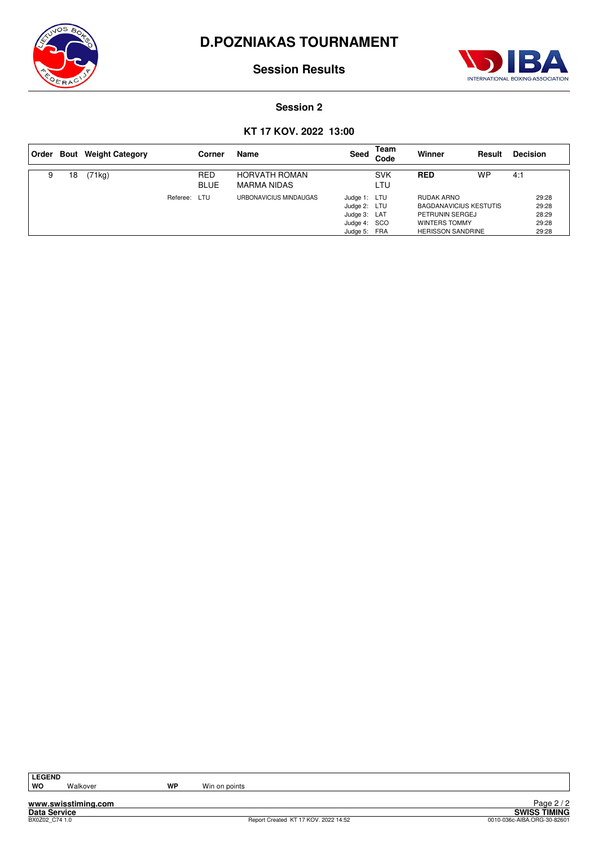



**Session Results**

#### **Session 2**

## **KT 17 KOV. 2022 13:00**

| Order |    | <b>Bout</b> Weight Category |              | Corner                    | Name                                | Seed                                                                         | Team<br>Code      | Winner                                                                                                      | Result | <b>Decision</b>                           |
|-------|----|-----------------------------|--------------|---------------------------|-------------------------------------|------------------------------------------------------------------------------|-------------------|-------------------------------------------------------------------------------------------------------------|--------|-------------------------------------------|
| 9     | 18 | (71kg)                      |              | <b>RED</b><br><b>BLUE</b> | <b>HORVATH ROMAN</b><br>MARMA NIDAS |                                                                              | <b>SVK</b><br>LTU | <b>RED</b>                                                                                                  | WP     | 4:1                                       |
|       |    |                             | Referee: LTU |                           | URBONAVICIUS MINDAUGAS              | Judge 1: LTU<br>Judge 2: LTU<br>Judge 3: LAT<br>Judge 4: SCO<br>Judge 5: FRA |                   | RUDAK ARNO<br><b>BAGDANAVICIUS KESTUTIS</b><br>PETRUNIN SERGEJ<br>WINTERS TOMMY<br><b>HERISSON SANDRINE</b> |        | 29:28<br>29:28<br>28:29<br>29:28<br>29:28 |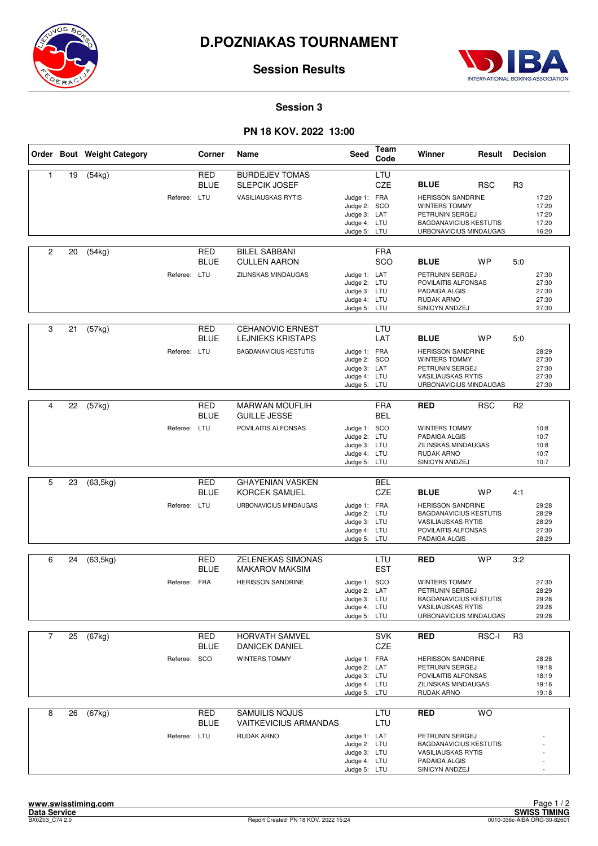



**Session Results**

#### **Session 3**

## **PN 18 KOV. 2022 13:00**

|                |    | Order Bout Weight Category |              | Corner                    | Name                                                  | <b>Seed</b>                                                                  | Team<br>Code             | Winner                                                                                                                          | Result     | <b>Decision</b> |                                           |
|----------------|----|----------------------------|--------------|---------------------------|-------------------------------------------------------|------------------------------------------------------------------------------|--------------------------|---------------------------------------------------------------------------------------------------------------------------------|------------|-----------------|-------------------------------------------|
| 1              | 19 | (54kg)                     |              | <b>RED</b><br><b>BLUE</b> | <b>BURDEJEV TOMAS</b><br><b>SLEPCIK JOSEF</b>         |                                                                              | LTU<br>CZE               | <b>BLUE</b>                                                                                                                     | <b>RSC</b> | R3              |                                           |
|                |    |                            | Referee: LTU |                           | <b>VASILIAUSKAS RYTIS</b>                             | Judge 1: FRA<br>Judge 2: SCO<br>Judge 3: LAT<br>Judge 4: LTU<br>Judge 5: LTU |                          | <b>HERISSON SANDRINE</b><br>WINTERS TOMMY<br>PETRUNIN SERGEJ<br><b>BAGDANAVICIUS KESTUTIS</b><br>URBONAVICIUS MINDAUGAS         |            |                 | 17:20<br>17:20<br>17:20<br>17:20<br>16:20 |
| $\overline{c}$ | 20 | (54kg)                     |              | RED<br><b>BLUE</b>        | <b>BILEL SABBANI</b><br><b>CULLEN AARON</b>           |                                                                              | <b>FRA</b><br>SCO        | <b>BLUE</b>                                                                                                                     | <b>WP</b>  | 5:0             |                                           |
|                |    |                            | Referee: LTU |                           | ZILINSKAS MINDAUGAS                                   | Judge 1: LAT<br>Judge 2: LTU<br>Judge 3: LTU<br>Judge 4: LTU<br>Judge 5: LTU |                          | PETRUNIN SERGEJ<br>POVILAITIS ALFONSAS<br>PADAIGA ALGIS<br>RUDAK ARNO<br>SINICYN ANDZEJ                                         |            |                 | 27:30<br>27:30<br>27:30<br>27:30<br>27:30 |
| 3              | 21 | (57kg)                     |              | <b>RED</b><br><b>BLUE</b> | <b>CEHANOVIC ERNEST</b><br><b>LEJNIEKS KRISTAPS</b>   |                                                                              | LTU<br>LAT               | <b>BLUE</b>                                                                                                                     | <b>WP</b>  | 5:0             |                                           |
|                |    |                            | Referee: LTU |                           | <b>BAGDANAVICIUS KESTUTIS</b>                         | Judge 1: FRA<br>Judge 2: SCO<br>Judge 3: LAT<br>Judge 4: LTU<br>Judge 5: LTU |                          | <b>HERISSON SANDRINE</b><br><b>WINTERS TOMMY</b><br>PETRUNIN SERGEJ<br><b>VASILIAUSKAS RYTIS</b><br>URBONAVICIUS MINDAUGAS      |            |                 | 28:29<br>27:30<br>27:30<br>27:30<br>27:30 |
|                |    |                            |              |                           |                                                       |                                                                              |                          |                                                                                                                                 |            |                 |                                           |
| 4              | 22 | (57kg)                     |              | <b>RED</b><br><b>BLUE</b> | <b>MARWAN MOUFLIH</b><br><b>GUILLE JESSE</b>          |                                                                              | <b>FRA</b><br><b>BEL</b> | <b>RED</b>                                                                                                                      | <b>RSC</b> | R <sub>2</sub>  |                                           |
|                |    |                            | Referee: LTU |                           | POVILAITIS ALFONSAS                                   | Judge 1: SCO<br>Judge 2: LTU<br>Judge 3: LTU<br>Judge 4: LTU<br>Judge 5: LTU |                          | <b>WINTERS TOMMY</b><br>PADAIGA ALGIS<br>ZILINSKAS MINDAUGAS<br>RUDAK ARNO<br>SINICYN ANDZEJ                                    |            |                 | 10:8<br>10:7<br>10:8<br>10:7<br>10:7      |
|                |    |                            |              |                           |                                                       |                                                                              |                          |                                                                                                                                 |            |                 |                                           |
| 5              | 23 | (63, 5kg)                  |              | <b>RED</b><br><b>BLUE</b> | <b>GHAYENIAN VASKEN</b><br><b>KORCEK SAMUEL</b>       |                                                                              | <b>BEL</b><br>CZE        | <b>BLUE</b>                                                                                                                     | <b>WP</b>  | 4:1             |                                           |
|                |    |                            | Referee: LTU |                           | URBONAVICIUS MINDAUGAS                                | Judge 1: FRA<br>Judge 2: LTU<br>Judge 3: LTU<br>Judge 4: LTU<br>Judge 5: LTU |                          | <b>HERISSON SANDRINE</b><br><b>BAGDANAVICIUS KESTUTIS</b><br><b>VASILIAUSKAS RYTIS</b><br>POVILAITIS ALFONSAS<br>PADAIGA ALGIS  |            |                 | 29:28<br>28:29<br>28:29<br>27:30<br>28:29 |
| 6              | 24 |                            |              | RED                       | <b>ZELENEKAS SIMONAS</b>                              |                                                                              | LTU                      | <b>RED</b>                                                                                                                      | <b>WP</b>  | 3:2             |                                           |
|                |    | (63, 5kg)                  |              | <b>BLUE</b>               | <b>MAKAROV MAKSIM</b>                                 |                                                                              | <b>EST</b>               |                                                                                                                                 |            |                 |                                           |
|                |    |                            | Referee: FRA |                           | <b>HERISSON SANDRINE</b>                              | Judge 1: SCO<br>Judge 2: LAT<br>Judge 3: LTU<br>Judge 4: LTU<br>Judge 5: LTU |                          | <b>WINTERS TOMMY</b><br>PETRUNIN SERGEJ<br><b>BAGDANAVICIUS KESTUTIS</b><br><b>VASILIAUSKAS RYTIS</b><br>URBONAVICIUS MINDAUGAS |            |                 | 27:30<br>28:29<br>29:28<br>29:28<br>29:28 |
| $\overline{7}$ | 25 | (67kg)                     |              | <b>RED</b><br><b>BLUE</b> | <b>HORVATH SAMVEL</b><br><b>DANICEK DANIEL</b>        |                                                                              | <b>SVK</b><br>CZE        | <b>RED</b>                                                                                                                      | RSC-I      | R3              |                                           |
|                |    |                            | Referee: SCO |                           | WINTERS TOMMY                                         | Judge 1: FRA<br>Judge 2: LAT<br>Judge 3: LTU<br>Judge 4: LTU<br>Judge 5: LTU |                          | <b>HERISSON SANDRINE</b><br>PETRUNIN SERGEJ<br>POVILAITIS ALFONSAS<br>ZILINSKAS MINDAUGAS<br>RUDAK ARNO                         |            |                 | 28:28<br>19:18<br>18:19<br>19:16<br>19:18 |
| 8              | 26 | (67kg)                     |              | <b>RED</b><br><b>BLUE</b> | <b>SAMUILIS NOJUS</b><br><b>VAITKEVICIUS ARMANDAS</b> |                                                                              | LTU<br>LTU               | <b>RED</b>                                                                                                                      | <b>WO</b>  |                 |                                           |
|                |    |                            | Referee: LTU |                           | RUDAK ARNO                                            | Judge 1: LAT<br>Judge 2: LTU<br>Judge 3: LTU<br>Judge 4: LTU<br>Judge 5: LTU |                          | PETRUNIN SERGEJ<br><b>BAGDANAVICIUS KESTUTIS</b><br><b>VASILIAUSKAS RYTIS</b><br>PADAIGA ALGIS<br>SINICYN ANDZEJ                |            |                 |                                           |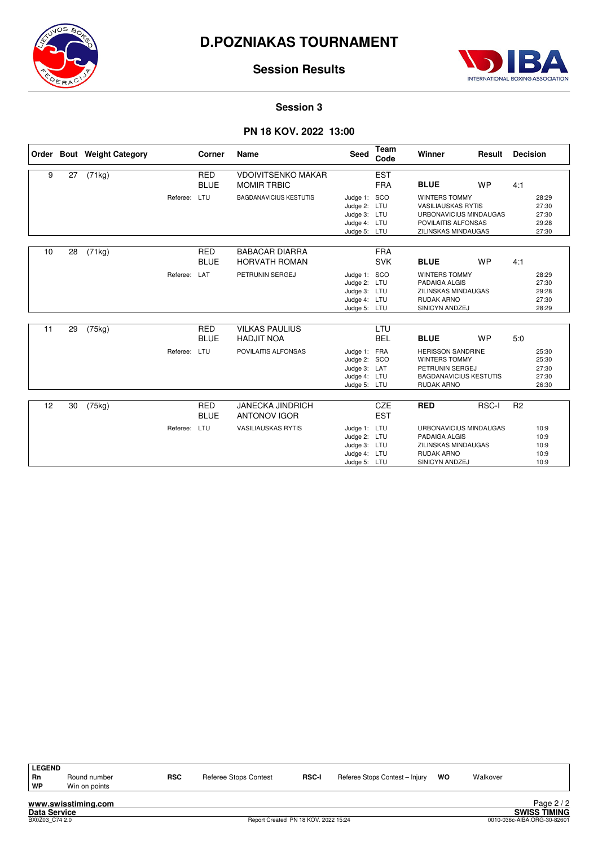



## **Session Results**

#### **Session 3**

### **PN 18 KOV. 2022 13:00**

|    |    | Order Bout Weight Category |              | Corner                    | Name                                            | Seed                                                                         | <b>Team</b><br>Code      | Winner                                                                                                                                   | Result    | <b>Decision</b> |                                           |
|----|----|----------------------------|--------------|---------------------------|-------------------------------------------------|------------------------------------------------------------------------------|--------------------------|------------------------------------------------------------------------------------------------------------------------------------------|-----------|-----------------|-------------------------------------------|
| 9  | 27 | (71kg)                     |              | <b>RED</b><br><b>BLUE</b> | <b>VDOIVITSENKO MAKAR</b><br><b>MOMIR TRBIC</b> |                                                                              | <b>EST</b><br><b>FRA</b> | <b>BLUE</b>                                                                                                                              | <b>WP</b> | 4:1             |                                           |
|    |    |                            | Referee: LTU |                           | <b>BAGDANAVICIUS KESTUTIS</b>                   | Judge 1: SCO<br>Judge 2: LTU<br>Judge 3: LTU<br>Judge 4: LTU<br>Judge 5: LTU |                          | <b>WINTERS TOMMY</b><br><b>VASILIAUSKAS RYTIS</b><br>URBONAVICIUS MINDAUGAS<br>POVILAITIS ALFONSAS<br><b>ZILINSKAS MINDAUGAS</b>         |           |                 | 28:29<br>27:30<br>27:30<br>29:28<br>27:30 |
| 10 | 28 | (71kg)                     |              | <b>RED</b><br><b>BLUE</b> | <b>BABACAR DIARRA</b><br><b>HORVATH ROMAN</b>   |                                                                              | <b>FRA</b><br><b>SVK</b> | <b>BLUE</b>                                                                                                                              | <b>WP</b> | 4:1             |                                           |
|    |    |                            | Referee: LAT |                           | PETRUNIN SERGEJ                                 | Judge 1: SCO<br>Judge 2: LTU<br>Judge 3: LTU<br>Judge 4: LTU<br>Judge 5: LTU |                          | <b>WINTERS TOMMY</b><br>PADAIGA ALGIS<br><b>ZILINSKAS MINDAUGAS</b><br><b>RUDAK ARNO</b><br>SINICYN ANDZEJ                               |           |                 | 28:29<br>27:30<br>29:28<br>27:30<br>28:29 |
| 11 | 29 | (75kg)                     |              | <b>RED</b>                | <b>VILKAS PAULIUS</b>                           |                                                                              | LTU                      |                                                                                                                                          |           |                 |                                           |
|    |    |                            | Referee: LTU | <b>BLUE</b>               | <b>HADJIT NOA</b><br>POVILAITIS ALFONSAS        | Judge 1: FRA<br>Judge 2: SCO<br>Judge 3: LAT<br>Judge 4: LTU<br>Judge 5: LTU | <b>BEL</b>               | <b>BLUE</b><br><b>HERISSON SANDRINE</b><br><b>WINTERS TOMMY</b><br>PETRUNIN SERGEJ<br><b>BAGDANAVICIUS KESTUTIS</b><br><b>RUDAK ARNO</b> | <b>WP</b> | 5.0             | 25:30<br>25:30<br>27:30<br>27:30<br>26:30 |
| 12 | 30 | (75kg)                     |              | <b>RED</b>                | <b>JANECKA JINDRICH</b>                         |                                                                              | CZE                      | <b>RED</b>                                                                                                                               | RSC-I     | R <sub>2</sub>  |                                           |
|    |    |                            |              | <b>BLUE</b>               | <b>ANTONOV IGOR</b>                             |                                                                              | <b>EST</b>               |                                                                                                                                          |           |                 |                                           |
|    |    |                            | Referee: LTU |                           | <b>VASILIAUSKAS RYTIS</b>                       | Judge 1: LTU<br>Judge 2: LTU<br>Judge 3: LTU<br>Judge 4: LTU<br>Judge 5: LTU |                          | URBONAVICIUS MINDAUGAS<br>PADAIGA ALGIS<br>ZILINSKAS MINDAUGAS<br><b>RUDAK ARNO</b><br>SINICYN ANDZEJ                                    |           |                 | 10:9<br>10:9<br>10:9<br>10:9<br>10:9      |

| Rn | Round number  | <b>RSC</b> | <b>Referee Stops Contest</b> | <b>RSC-I</b> | Referee Stops Contest - Injury | wo | Walkover |
|----|---------------|------------|------------------------------|--------------|--------------------------------|----|----------|
| WP | Win on points |            |                              |              |                                |    |          |
|    |               |            |                              |              |                                |    |          |

**LEGEND**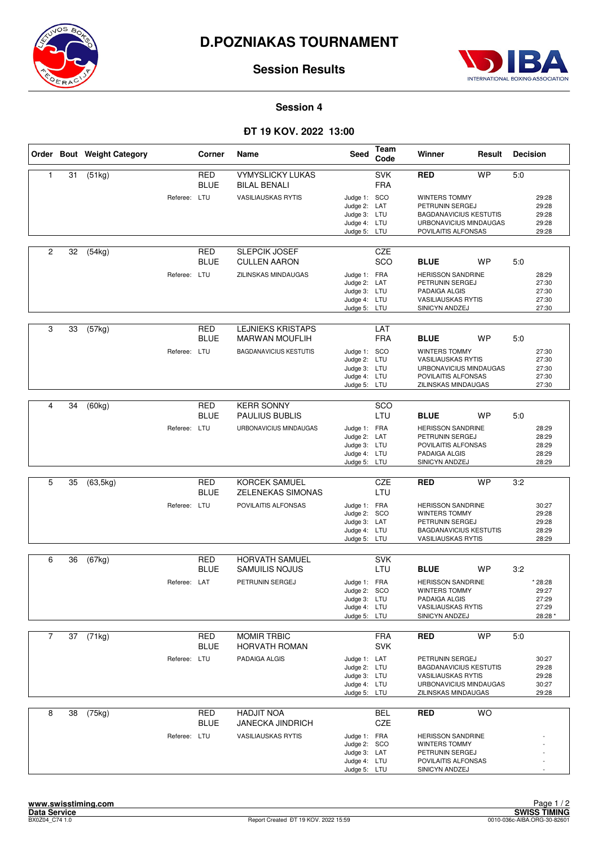



**Session Results**

#### **Session 4**

## **ÐT 19 KOV. 2022 13:00**

|                |    | Order Bout Weight Category |              | Corner                    | Name                                                 | Seed                                                                         | Team<br>Code             | Winner                                                                                                                            | Result    | <b>Decision</b> |                                               |
|----------------|----|----------------------------|--------------|---------------------------|------------------------------------------------------|------------------------------------------------------------------------------|--------------------------|-----------------------------------------------------------------------------------------------------------------------------------|-----------|-----------------|-----------------------------------------------|
| 1              | 31 | (51kg)                     |              | <b>RED</b><br><b>BLUE</b> | <b>VYMYSLICKY LUKAS</b><br><b>BILAL BENALI</b>       |                                                                              | <b>SVK</b><br><b>FRA</b> | RED                                                                                                                               | <b>WP</b> | 5:0             |                                               |
|                |    |                            | Referee: LTU |                           | <b>VASILIAUSKAS RYTIS</b>                            | Judge 1: SCO<br>Judge 2: LAT<br>Judge 3: LTU<br>Judge 4: LTU<br>Judge 5: LTU |                          | <b>WINTERS TOMMY</b><br>PETRUNIN SERGEJ<br><b>BAGDANAVICIUS KESTUTIS</b><br>URBONAVICIUS MINDAUGAS<br>POVILAITIS ALFONSAS         |           |                 | 29:28<br>29:28<br>29:28<br>29:28<br>29:28     |
| 2              | 32 | (54kg)                     |              | <b>RED</b><br><b>BLUE</b> | SLEPCIK JOSEF<br><b>CULLEN AARON</b>                 |                                                                              | CZE<br>SCO               | <b>BLUE</b>                                                                                                                       | <b>WP</b> | 5:0             |                                               |
|                |    |                            | Referee: LTU |                           | ZILINSKAS MINDAUGAS                                  | Judge 1: FRA<br>Judge 2: LAT<br>Judge 3: LTU<br>Judge 4: LTU<br>Judge 5: LTU |                          | <b>HERISSON SANDRINE</b><br>PETRUNIN SERGEJ<br>PADAIGA ALGIS<br><b>VASILIAUSKAS RYTIS</b><br>SINICYN ANDZEJ                       |           |                 | 28:29<br>27:30<br>27:30<br>27:30<br>27:30     |
| 3              | 33 | (57kg)                     |              | RED<br><b>BLUE</b>        | <b>LEJNIEKS KRISTAPS</b><br><b>MARWAN MOUFLIH</b>    |                                                                              | LAT<br><b>FRA</b>        | <b>BLUE</b>                                                                                                                       | <b>WP</b> | 5:0             |                                               |
|                |    |                            | Referee: LTU |                           | <b>BAGDANAVICIUS KESTUTIS</b>                        | Judge 1: SCO<br>Judge 2: LTU<br>Judge 3: LTU<br>Judge 4: LTU<br>Judge 5: LTU |                          | <b>WINTERS TOMMY</b><br><b>VASILIAUSKAS RYTIS</b><br>URBONAVICIUS MINDAUGAS<br>POVILAITIS ALFONSAS<br>ZILINSKAS MINDAUGAS         |           |                 | 27:30<br>27:30<br>27:30<br>27:30<br>27:30     |
| 4              | 34 | (60kg)                     |              | <b>RED</b>                | <b>KERR SONNY</b>                                    |                                                                              | SCO                      |                                                                                                                                   |           |                 |                                               |
|                |    |                            | Referee: LTU | <b>BLUE</b>               | <b>PAULIUS BUBLIS</b><br>URBONAVICIUS MINDAUGAS      | Judge 1: FRA<br>Judge 2: LAT<br>Judge 3: LTU<br>Judge 4: LTU<br>Judge 5: LTU | LTU                      | <b>BLUE</b><br><b>HERISSON SANDRINE</b><br>PETRUNIN SERGEJ<br>POVILAITIS ALFONSAS<br>PADAIGA ALGIS<br>SINICYN ANDZEJ              | <b>WP</b> | 5:0             | 28:29<br>28:29<br>28:29<br>28:29<br>28:29     |
|                |    |                            |              |                           |                                                      |                                                                              |                          |                                                                                                                                   |           |                 |                                               |
| 5              | 35 | (63, 5kg)                  |              | <b>RED</b><br><b>BLUE</b> | <b>KORCEK SAMUEL</b><br>ZELENEKAS SIMONAS            |                                                                              | CZE<br>LTU               | RED                                                                                                                               | <b>WP</b> | 3:2             |                                               |
|                |    |                            | Referee: LTU |                           | POVILAITIS ALFONSAS                                  | Judge 1: FRA<br>Judge 2: SCO<br>Judge 3: LAT<br>Judge 4: LTU<br>Judge 5: LTU |                          | <b>HERISSON SANDRINE</b><br><b>WINTERS TOMMY</b><br>PETRUNIN SERGEJ<br><b>BAGDANAVICIUS KESTUTIS</b><br><b>VASILIAUSKAS RYTIS</b> |           |                 | 30:27<br>29:28<br>29:28<br>28:29<br>28:29     |
| 6              | 36 | (67kg)                     |              | RED                       | <b>HORVATH SAMUEL</b>                                |                                                                              | <b>SVK</b>               |                                                                                                                                   |           |                 |                                               |
|                |    |                            |              | <b>BLUE</b>               | <b>SAMUILIS NOJUS</b>                                |                                                                              | LTU                      | <b>BLUE</b>                                                                                                                       | <b>WP</b> | 3:2             |                                               |
|                |    |                            | Referee: LAT |                           | PETRUNIN SERGEJ                                      | Judge 1: FRA<br>Judge 2: SCO<br>Judge 3: LTU<br>Judge 4: LTU<br>Judge 5: LTU |                          | <b>HERISSON SANDRINE</b><br>WINTERS TOMMY<br>PADAIGA ALGIS<br><b>VASILIAUSKAS RYTIS</b><br>SINICYN ANDZEJ                         |           |                 | * 28:28<br>29:27<br>27:29<br>27:29<br>28:28 * |
| $\overline{7}$ | 37 | (71kg)                     |              | RED                       | <b>MOMIR TRBIC</b>                                   |                                                                              | <b>FRA</b>               | <b>RED</b>                                                                                                                        | <b>WP</b> | 5:0             |                                               |
|                |    |                            |              | <b>BLUE</b>               | HORVATH ROMAN                                        |                                                                              | <b>SVK</b>               |                                                                                                                                   |           |                 |                                               |
|                |    |                            | Referee: LTU |                           | PADAIGA ALGIS                                        | Judge 1: LAT<br>Judge 2: LTU<br>Judge 3: LTU<br>Judge 4: LTU<br>Judge 5: LTU |                          | PETRUNIN SERGEJ<br><b>BAGDANAVICIUS KESTUTIS</b><br><b>VASILIAUSKAS RYTIS</b><br>URBONAVICIUS MINDAUGAS<br>ZILINSKAS MINDAUGAS    |           |                 | 30:27<br>29:28<br>29:28<br>30:27<br>29:28     |
| 8              | 38 | (75kg)                     |              | <b>RED</b>                | <b>HADJIT NOA</b>                                    |                                                                              | BEL                      | <b>RED</b>                                                                                                                        | <b>WO</b> |                 |                                               |
|                |    |                            | Referee: LTU | <b>BLUE</b>               | <b>JANECKA JINDRICH</b><br><b>VASILIAUSKAS RYTIS</b> | Judge 1: FRA<br>Judge 2: SCO<br>Judge 3: LAT<br>Judge 4: LTU<br>Judge 5: LTU | CZE                      | <b>HERISSON SANDRINE</b><br>WINTERS TOMMY<br>PETRUNIN SERGEJ<br>POVILAITIS ALFONSAS<br>SINICYN ANDZEJ                             |           |                 |                                               |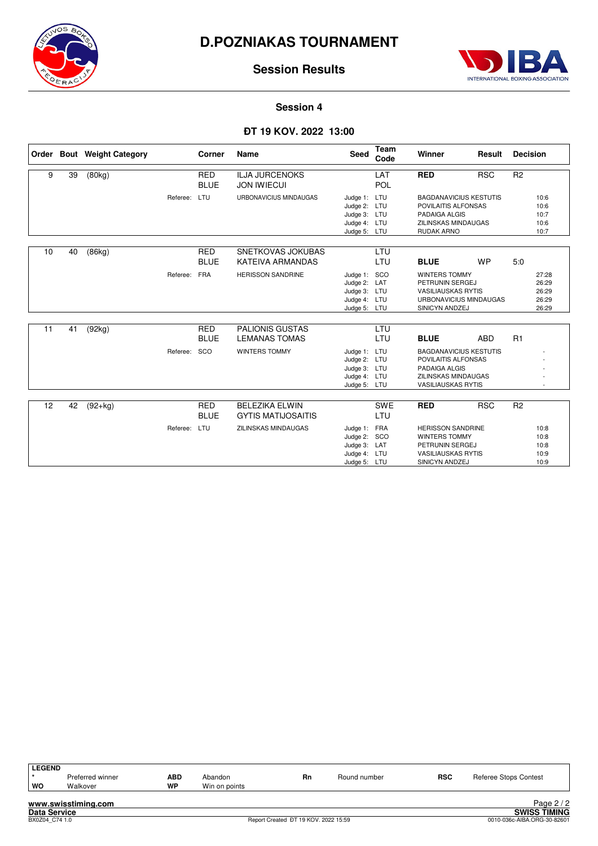



## **Session Results**

### **Session 4**

### **ÐT 19 KOV. 2022 13:00**

|    |    | Order Bout Weight Category |              | Corner                    | Name                                               | Seed                                                                         | <b>Team</b><br>Code | Winner                                                                                                                           | Result     | <b>Decision</b> |                                           |
|----|----|----------------------------|--------------|---------------------------|----------------------------------------------------|------------------------------------------------------------------------------|---------------------|----------------------------------------------------------------------------------------------------------------------------------|------------|-----------------|-------------------------------------------|
| 9  | 39 | (80kg)                     |              | RED<br><b>BLUE</b>        | <b>ILJA JURCENOKS</b><br><b>JON IWIECUI</b>        |                                                                              | LAT<br>POL          | <b>RED</b>                                                                                                                       | <b>RSC</b> | R <sub>2</sub>  |                                           |
|    |    |                            | Referee: LTU |                           | URBONAVICIUS MINDAUGAS                             | Judge 1: LTU<br>Judge 2: LTU<br>Judge 3: LTU<br>Judge 4: LTU<br>Judge 5: LTU |                     | <b>BAGDANAVICIUS KESTUTIS</b><br>POVILAITIS ALFONSAS<br>PADAIGA ALGIS<br><b>ZILINSKAS MINDAUGAS</b><br><b>RUDAK ARNO</b>         |            |                 | 10:6<br>10:6<br>10:7<br>10:6<br>10:7      |
| 10 | 40 | (86kg)                     |              | <b>RED</b><br><b>BLUE</b> | SNETKOVAS JOKUBAS<br><b>KATEIVA ARMANDAS</b>       |                                                                              | LTU<br>LTU          | <b>BLUE</b>                                                                                                                      | <b>WP</b>  | 5.0             |                                           |
|    |    |                            | Referee:     | <b>FRA</b>                | <b>HERISSON SANDRINE</b>                           | Judge 1: SCO<br>Judge 2: LAT<br>Judge 3: LTU<br>Judge 4: LTU<br>Judge 5: LTU |                     | <b>WINTERS TOMMY</b><br>PETRUNIN SERGEJ<br><b>VASILIAUSKAS RYTIS</b><br>URBONAVICIUS MINDAUGAS<br>SINICYN ANDZEJ                 |            |                 | 27:28<br>26:29<br>26:29<br>26:29<br>26:29 |
| 11 | 41 | (92kg)                     |              | <b>RED</b><br><b>BLUE</b> | <b>PALIONIS GUSTAS</b><br><b>LEMANAS TOMAS</b>     |                                                                              | LTU<br>LTU          | <b>BLUE</b>                                                                                                                      | ABD        | R1              |                                           |
|    |    |                            | Referee:     | SCO                       | <b>WINTERS TOMMY</b>                               | Judge 1: LTU<br>Judge 2: LTU<br>Judge 3: LTU<br>Judge 4: LTU<br>Judge 5: LTU |                     | <b>BAGDANAVICIUS KESTUTIS</b><br>POVILAITIS ALFONSAS<br>PADAIGA ALGIS<br><b>ZILINSKAS MINDAUGAS</b><br><b>VASILIAUSKAS RYTIS</b> |            |                 |                                           |
|    |    |                            |              |                           |                                                    |                                                                              |                     |                                                                                                                                  |            |                 |                                           |
| 12 | 42 | $(92+kg)$                  |              | <b>RED</b><br><b>BLUE</b> | <b>BELEZIKA ELWIN</b><br><b>GYTIS MATIJOSAITIS</b> |                                                                              | <b>SWE</b><br>LTU   | <b>RED</b>                                                                                                                       | <b>RSC</b> | R <sub>2</sub>  |                                           |
|    |    |                            | Referee: LTU |                           | <b>ZILINSKAS MINDAUGAS</b>                         | Judge 1: FRA<br>Judge 2: SCO<br>Judge 3: LAT<br>Judge 4: LTU<br>Judge 5: LTU |                     | <b>HERISSON SANDRINE</b><br><b>WINTERS TOMMY</b><br>PETRUNIN SERGEJ<br><b>VASILIAUSKAS RYTIS</b><br>SINICYN ANDZEJ               |            |                 | 10:8<br>10:8<br>10:8<br>10:9<br>10:9      |

| <b>LEGEND</b> |                     |            |               |    |              |            |                       |
|---------------|---------------------|------------|---------------|----|--------------|------------|-----------------------|
|               | Preferred winner    | <b>ABD</b> | Abandon       | Rn | Round number | <b>RSC</b> | Referee Stops Contest |
| WO            | Walkover            | <b>WP</b>  | Win on points |    |              |            |                       |
|               | www.swisstiming.com |            |               |    |              |            | Page $2/2$            |